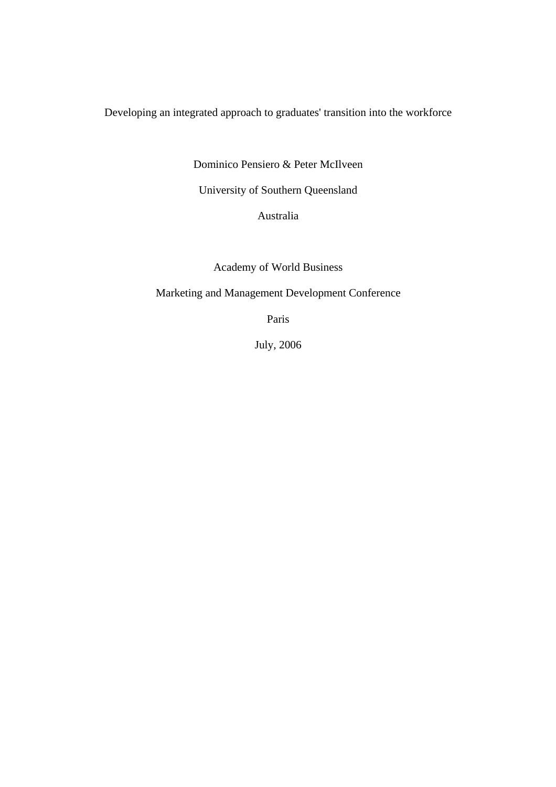Developing an integrated approach to graduates' transition into the workforce

Dominico Pensiero & Peter McIlveen

University of Southern Queensland

Australia

Academy of World Business

Marketing and Management Development Conference

Paris

July, 2006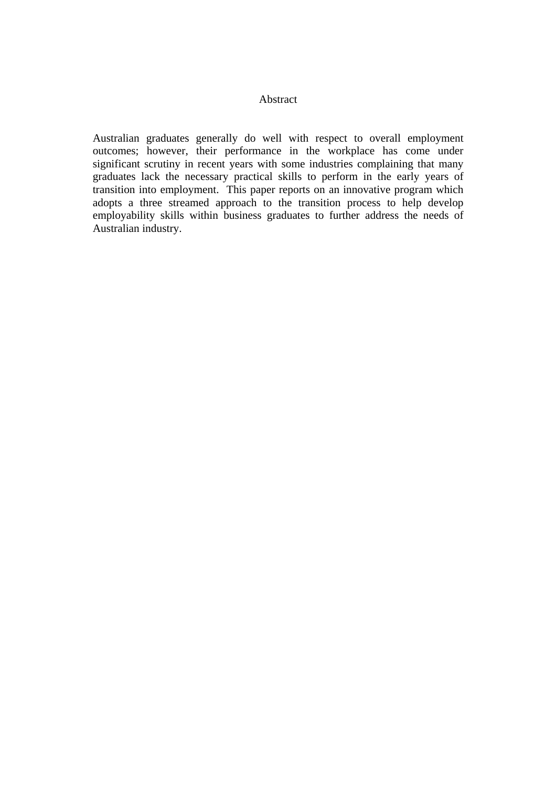# Abstract

Australian graduates generally do well with respect to overall employment outcomes; however, their performance in the workplace has come under significant scrutiny in recent years with some industries complaining that many graduates lack the necessary practical skills to perform in the early years of transition into employment. This paper reports on an innovative program which adopts a three streamed approach to the transition process to help develop employability skills within business graduates to further address the needs of Australian industry.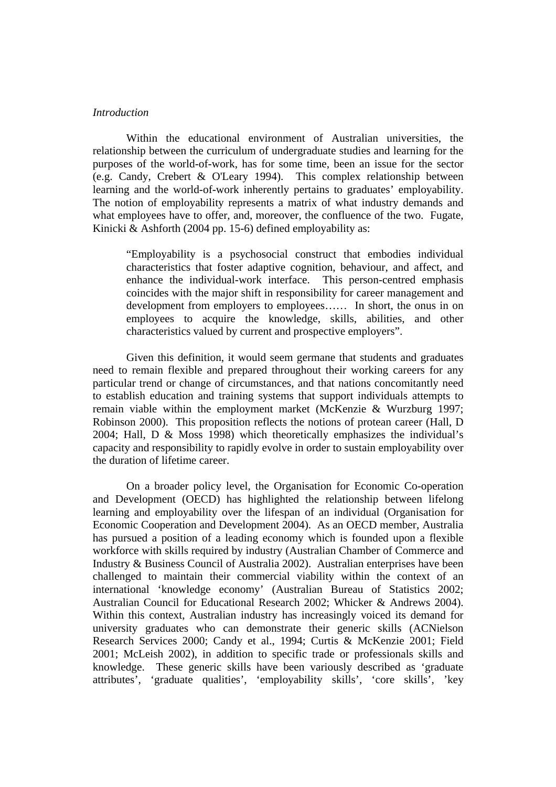#### *Introduction*

Within the educational environment of Australian universities, the relationship between the curriculum of undergraduate studies and learning for the purposes of the world-of-work, has for some time, been an issue for the sector (e.g. Candy, Crebert & O'Leary 1994). This complex relationship between learning and the world-of-work inherently pertains to graduates' employability. The notion of employability represents a matrix of what industry demands and what employees have to offer, and, moreover, the confluence of the two. Fugate, Kinicki & Ashforth (2004 pp. 15-6) defined employability as:

"Employability is a psychosocial construct that embodies individual characteristics that foster adaptive cognition, behaviour, and affect, and enhance the individual-work interface. This person-centred emphasis coincides with the major shift in responsibility for career management and development from employers to employees…… In short, the onus in on employees to acquire the knowledge, skills, abilities, and other characteristics valued by current and prospective employers".

Given this definition, it would seem germane that students and graduates need to remain flexible and prepared throughout their working careers for any particular trend or change of circumstances, and that nations concomitantly need to establish education and training systems that support individuals attempts to remain viable within the employment market (McKenzie & Wurzburg 1997; Robinson 2000). This proposition reflects the notions of protean career (Hall, D 2004; Hall, D & Moss 1998) which theoretically emphasizes the individual's capacity and responsibility to rapidly evolve in order to sustain employability over the duration of lifetime career.

On a broader policy level, the Organisation for Economic Co-operation and Development (OECD) has highlighted the relationship between lifelong learning and employability over the lifespan of an individual (Organisation for Economic Cooperation and Development 2004). As an OECD member, Australia has pursued a position of a leading economy which is founded upon a flexible workforce with skills required by industry (Australian Chamber of Commerce and Industry & Business Council of Australia 2002). Australian enterprises have been challenged to maintain their commercial viability within the context of an international 'knowledge economy' (Australian Bureau of Statistics 2002; Australian Council for Educational Research 2002; Whicker & Andrews 2004). Within this context, Australian industry has increasingly voiced its demand for university graduates who can demonstrate their generic skills (ACNielson Research Services 2000; Candy et al., 1994; Curtis & McKenzie 2001; Field 2001; McLeish 2002), in addition to specific trade or professionals skills and knowledge. These generic skills have been variously described as 'graduate attributes', 'graduate qualities', 'employability skills', 'core skills', 'key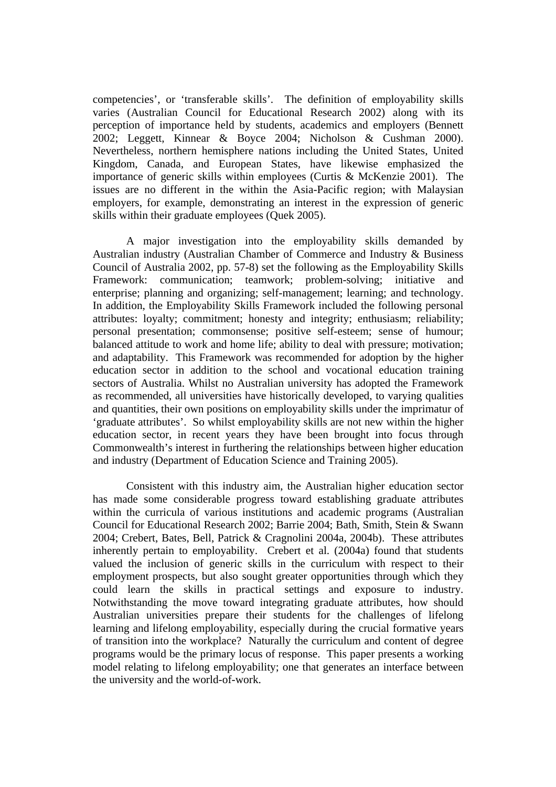competencies', or 'transferable skills'. The definition of employability skills varies (Australian Council for Educational Research 2002) along with its perception of importance held by students, academics and employers (Bennett 2002; Leggett, Kinnear & Boyce 2004; Nicholson & Cushman 2000). Nevertheless, northern hemisphere nations including the United States, United Kingdom, Canada, and European States, have likewise emphasized the importance of generic skills within employees (Curtis & McKenzie 2001). The issues are no different in the within the Asia-Pacific region; with Malaysian employers, for example, demonstrating an interest in the expression of generic skills within their graduate employees (Quek 2005).

A major investigation into the employability skills demanded by Australian industry (Australian Chamber of Commerce and Industry & Business Council of Australia 2002, pp. 57-8) set the following as the Employability Skills Framework: communication; teamwork; problem-solving; initiative and enterprise; planning and organizing; self-management; learning; and technology. In addition, the Employability Skills Framework included the following personal attributes: loyalty; commitment; honesty and integrity; enthusiasm; reliability; personal presentation; commonsense; positive self-esteem; sense of humour; balanced attitude to work and home life; ability to deal with pressure; motivation; and adaptability. This Framework was recommended for adoption by the higher education sector in addition to the school and vocational education training sectors of Australia. Whilst no Australian university has adopted the Framework as recommended, all universities have historically developed, to varying qualities and quantities, their own positions on employability skills under the imprimatur of 'graduate attributes'. So whilst employability skills are not new within the higher education sector, in recent years they have been brought into focus through Commonwealth's interest in furthering the relationships between higher education and industry (Department of Education Science and Training 2005).

Consistent with this industry aim, the Australian higher education sector has made some considerable progress toward establishing graduate attributes within the curricula of various institutions and academic programs (Australian Council for Educational Research 2002; Barrie 2004; Bath, Smith, Stein & Swann 2004; Crebert, Bates, Bell, Patrick & Cragnolini 2004a, 2004b). These attributes inherently pertain to employability. Crebert et al. (2004a) found that students valued the inclusion of generic skills in the curriculum with respect to their employment prospects, but also sought greater opportunities through which they could learn the skills in practical settings and exposure to industry. Notwithstanding the move toward integrating graduate attributes, how should Australian universities prepare their students for the challenges of lifelong learning and lifelong employability, especially during the crucial formative years of transition into the workplace? Naturally the curriculum and content of degree programs would be the primary locus of response. This paper presents a working model relating to lifelong employability; one that generates an interface between the university and the world-of-work.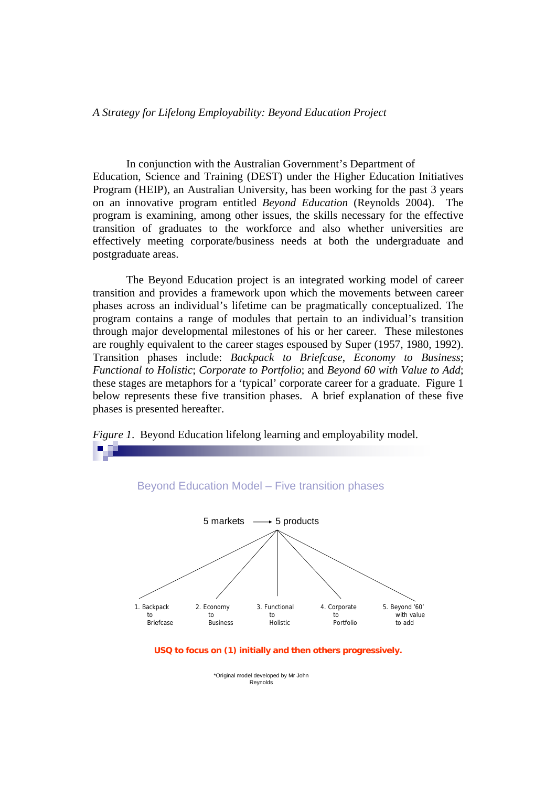*A Strategy for Lifelong Employability: Beyond Education Project* 

In conjunction with the Australian Government's Department of Education, Science and Training (DEST) under the Higher Education Initiatives Program (HEIP), an Australian University, has been working for the past 3 years on an innovative program entitled *Beyond Education* (Reynolds 2004). The program is examining, among other issues, the skills necessary for the effective transition of graduates to the workforce and also whether universities are effectively meeting corporate/business needs at both the undergraduate and postgraduate areas.

The Beyond Education project is an integrated working model of career transition and provides a framework upon which the movements between career phases across an individual's lifetime can be pragmatically conceptualized. The program contains a range of modules that pertain to an individual's transition through major developmental milestones of his or her career. These milestones are roughly equivalent to the career stages espoused by Super (1957, 1980, 1992). Transition phases include: *Backpack to Briefcase*, *Economy to Business*; *Functional to Holistic*; *Corporate to Portfolio*; and *Beyond 60 with Value to Add*; these stages are metaphors for a 'typical' corporate career for a graduate. Figure 1 below represents these five transition phases. A brief explanation of these five phases is presented hereafter.



*Figure 1*. Beyond Education lifelong learning and employability model.

**USQ to focus on (1) initially and then others progressively.**

\*Original model developed by Mr John Reynolds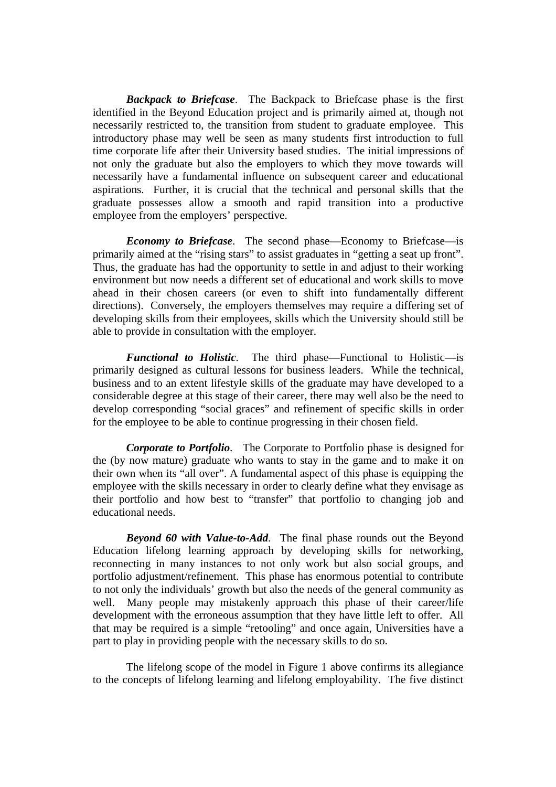*Backpack to Briefcase*. The Backpack to Briefcase phase is the first identified in the Beyond Education project and is primarily aimed at, though not necessarily restricted to, the transition from student to graduate employee. This introductory phase may well be seen as many students first introduction to full time corporate life after their University based studies. The initial impressions of not only the graduate but also the employers to which they move towards will necessarily have a fundamental influence on subsequent career and educational aspirations. Further, it is crucial that the technical and personal skills that the graduate possesses allow a smooth and rapid transition into a productive employee from the employers' perspective.

*Economy to Briefcase*. The second phase—Economy to Briefcase—is primarily aimed at the "rising stars" to assist graduates in "getting a seat up front". Thus, the graduate has had the opportunity to settle in and adjust to their working environment but now needs a different set of educational and work skills to move ahead in their chosen careers (or even to shift into fundamentally different directions). Conversely, the employers themselves may require a differing set of developing skills from their employees, skills which the University should still be able to provide in consultation with the employer.

*Functional to Holistic*. The third phase—Functional to Holistic—is primarily designed as cultural lessons for business leaders. While the technical, business and to an extent lifestyle skills of the graduate may have developed to a considerable degree at this stage of their career, there may well also be the need to develop corresponding "social graces" and refinement of specific skills in order for the employee to be able to continue progressing in their chosen field.

*Corporate to Portfolio*. The Corporate to Portfolio phase is designed for the (by now mature) graduate who wants to stay in the game and to make it on their own when its "all over". A fundamental aspect of this phase is equipping the employee with the skills necessary in order to clearly define what they envisage as their portfolio and how best to "transfer" that portfolio to changing job and educational needs.

*Beyond 60 with Value-to-Add*. The final phase rounds out the Beyond Education lifelong learning approach by developing skills for networking, reconnecting in many instances to not only work but also social groups, and portfolio adjustment/refinement. This phase has enormous potential to contribute to not only the individuals' growth but also the needs of the general community as well. Many people may mistakenly approach this phase of their career/life development with the erroneous assumption that they have little left to offer. All that may be required is a simple "retooling" and once again, Universities have a part to play in providing people with the necessary skills to do so.

 The lifelong scope of the model in Figure 1 above confirms its allegiance to the concepts of lifelong learning and lifelong employability. The five distinct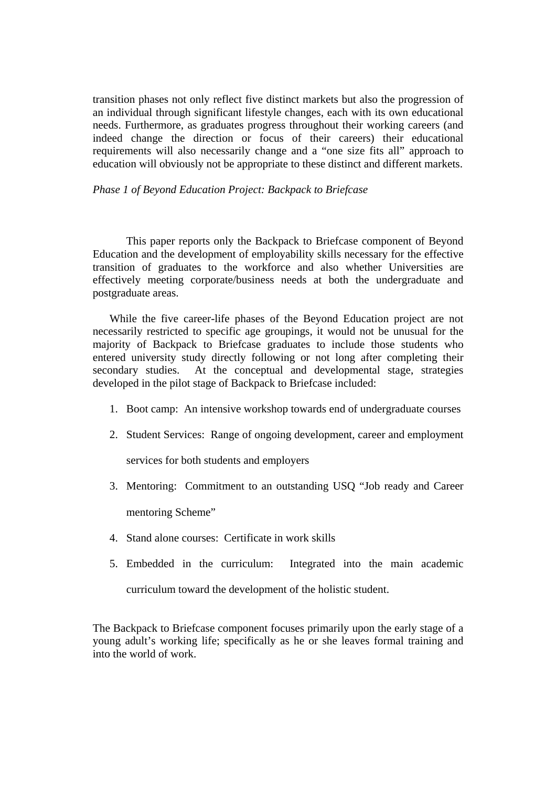transition phases not only reflect five distinct markets but also the progression of an individual through significant lifestyle changes, each with its own educational needs. Furthermore, as graduates progress throughout their working careers (and indeed change the direction or focus of their careers) their educational requirements will also necessarily change and a "one size fits all" approach to education will obviously not be appropriate to these distinct and different markets.

*Phase 1 of Beyond Education Project: Backpack to Briefcase* 

This paper reports only the Backpack to Briefcase component of Beyond Education and the development of employability skills necessary for the effective transition of graduates to the workforce and also whether Universities are effectively meeting corporate/business needs at both the undergraduate and postgraduate areas.

While the five career-life phases of the Beyond Education project are not necessarily restricted to specific age groupings, it would not be unusual for the majority of Backpack to Briefcase graduates to include those students who entered university study directly following or not long after completing their secondary studies. At the conceptual and developmental stage, strategies developed in the pilot stage of Backpack to Briefcase included:

- 1. Boot camp: An intensive workshop towards end of undergraduate courses
- 2. Student Services: Range of ongoing development, career and employment

services for both students and employers

3. Mentoring: Commitment to an outstanding USQ "Job ready and Career

mentoring Scheme"

- 4. Stand alone courses: Certificate in work skills
- 5. Embedded in the curriculum: Integrated into the main academic curriculum toward the development of the holistic student.

The Backpack to Briefcase component focuses primarily upon the early stage of a young adult's working life; specifically as he or she leaves formal training and into the world of work.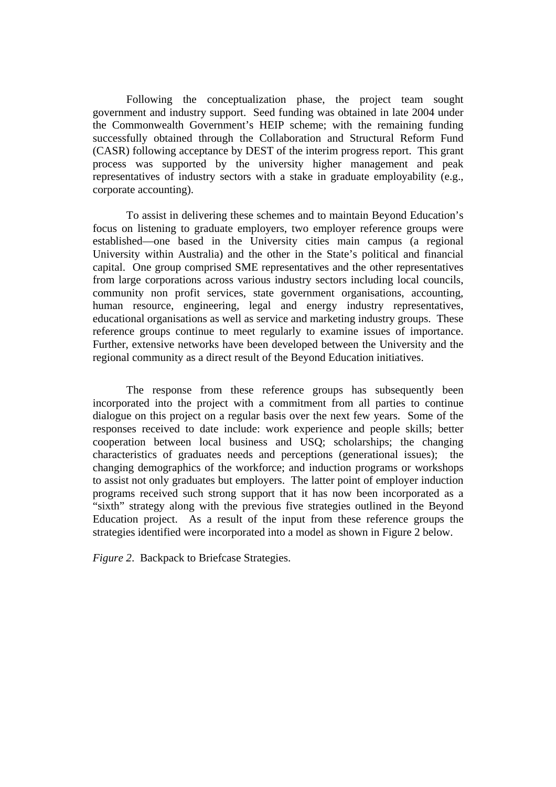Following the conceptualization phase, the project team sought government and industry support. Seed funding was obtained in late 2004 under the Commonwealth Government's HEIP scheme; with the remaining funding successfully obtained through the Collaboration and Structural Reform Fund (CASR) following acceptance by DEST of the interim progress report. This grant process was supported by the university higher management and peak representatives of industry sectors with a stake in graduate employability (e.g., corporate accounting).

To assist in delivering these schemes and to maintain Beyond Education's focus on listening to graduate employers, two employer reference groups were established—one based in the University cities main campus (a regional University within Australia) and the other in the State's political and financial capital. One group comprised SME representatives and the other representatives from large corporations across various industry sectors including local councils, community non profit services, state government organisations, accounting, human resource, engineering, legal and energy industry representatives, educational organisations as well as service and marketing industry groups. These reference groups continue to meet regularly to examine issues of importance. Further, extensive networks have been developed between the University and the regional community as a direct result of the Beyond Education initiatives.

 The response from these reference groups has subsequently been incorporated into the project with a commitment from all parties to continue dialogue on this project on a regular basis over the next few years. Some of the responses received to date include: work experience and people skills; better cooperation between local business and USQ; scholarships; the changing characteristics of graduates needs and perceptions (generational issues); the changing demographics of the workforce; and induction programs or workshops to assist not only graduates but employers. The latter point of employer induction programs received such strong support that it has now been incorporated as a "sixth" strategy along with the previous five strategies outlined in the Beyond Education project. As a result of the input from these reference groups the strategies identified were incorporated into a model as shown in Figure 2 below.

*Figure 2*. Backpack to Briefcase Strategies.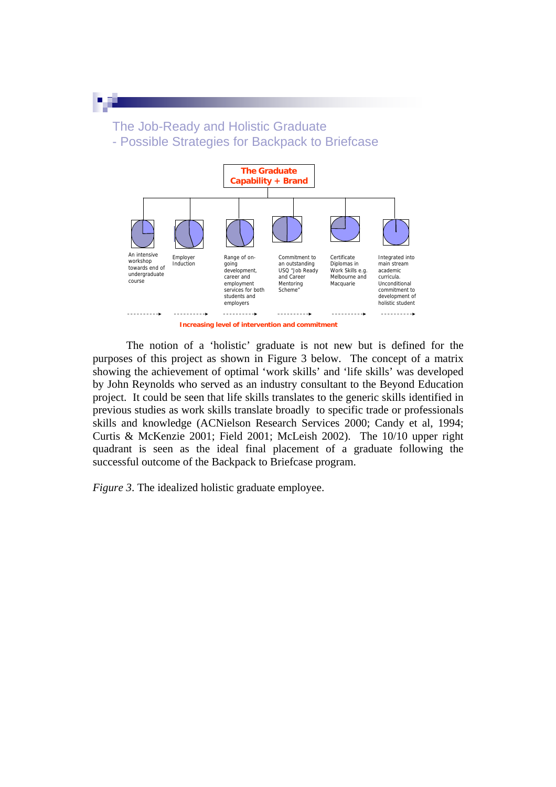The Job-Ready and Holistic Graduate - Possible Strategies for Backpack to Briefcase



**Increasing level of intervention and commitment**

The notion of a 'holistic' graduate is not new but is defined for the purposes of this project as shown in Figure 3 below. The concept of a matrix showing the achievement of optimal 'work skills' and 'life skills' was developed by John Reynolds who served as an industry consultant to the Beyond Education project. It could be seen that life skills translates to the generic skills identified in previous studies as work skills translate broadly to specific trade or professionals skills and knowledge (ACNielson Research Services 2000; Candy et al, 1994; Curtis & McKenzie 2001; Field 2001; McLeish 2002). The 10/10 upper right quadrant is seen as the ideal final placement of a graduate following the successful outcome of the Backpack to Briefcase program.

*Figure 3*. The idealized holistic graduate employee.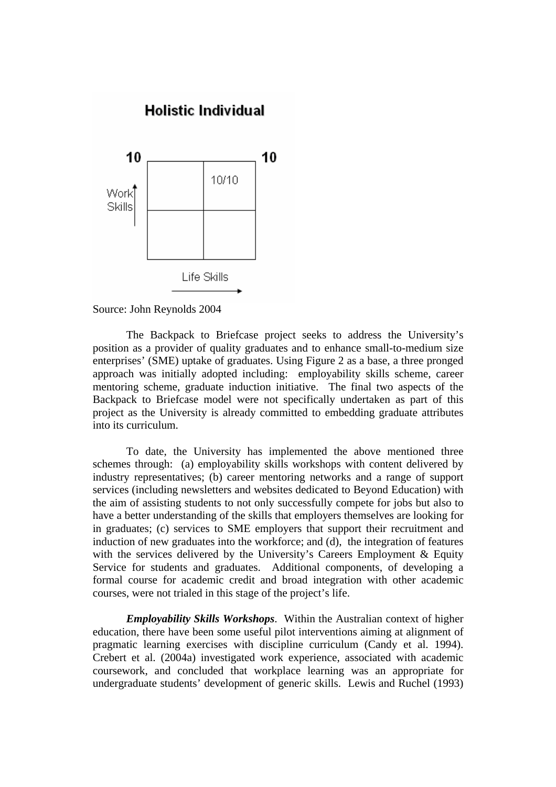

### Source: John Reynolds 2004

The Backpack to Briefcase project seeks to address the University's position as a provider of quality graduates and to enhance small-to-medium size enterprises' (SME) uptake of graduates. Using Figure 2 as a base, a three pronged approach was initially adopted including: employability skills scheme, career mentoring scheme, graduate induction initiative. The final two aspects of the Backpack to Briefcase model were not specifically undertaken as part of this project as the University is already committed to embedding graduate attributes into its curriculum.

 To date, the University has implemented the above mentioned three schemes through: (a) employability skills workshops with content delivered by industry representatives; (b) career mentoring networks and a range of support services (including newsletters and websites dedicated to Beyond Education) with the aim of assisting students to not only successfully compete for jobs but also to have a better understanding of the skills that employers themselves are looking for in graduates; (c) services to SME employers that support their recruitment and induction of new graduates into the workforce; and (d), the integration of features with the services delivered by the University's Careers Employment & Equity Service for students and graduates. Additional components, of developing a formal course for academic credit and broad integration with other academic courses, were not trialed in this stage of the project's life.

*Employability Skills Workshops*. Within the Australian context of higher education, there have been some useful pilot interventions aiming at alignment of pragmatic learning exercises with discipline curriculum (Candy et al. 1994). Crebert et al. (2004a) investigated work experience, associated with academic coursework, and concluded that workplace learning was an appropriate for undergraduate students' development of generic skills. Lewis and Ruchel (1993)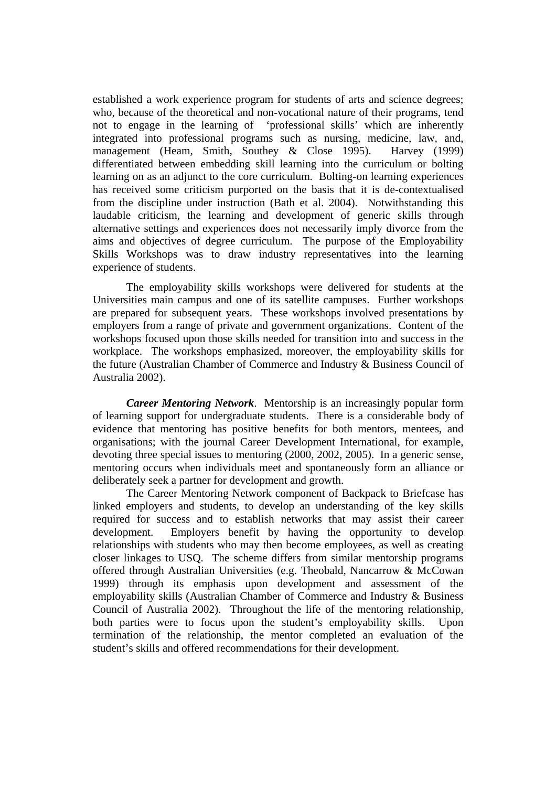established a work experience program for students of arts and science degrees; who, because of the theoretical and non-vocational nature of their programs, tend not to engage in the learning of 'professional skills' which are inherently integrated into professional programs such as nursing, medicine, law, and, management (Heam, Smith, Southey & Close 1995). Harvey (1999) differentiated between embedding skill learning into the curriculum or bolting learning on as an adjunct to the core curriculum. Bolting-on learning experiences has received some criticism purported on the basis that it is de-contextualised from the discipline under instruction (Bath et al. 2004). Notwithstanding this laudable criticism, the learning and development of generic skills through alternative settings and experiences does not necessarily imply divorce from the aims and objectives of degree curriculum. The purpose of the Employability Skills Workshops was to draw industry representatives into the learning experience of students.

The employability skills workshops were delivered for students at the Universities main campus and one of its satellite campuses. Further workshops are prepared for subsequent years. These workshops involved presentations by employers from a range of private and government organizations. Content of the workshops focused upon those skills needed for transition into and success in the workplace. The workshops emphasized, moreover, the employability skills for the future (Australian Chamber of Commerce and Industry & Business Council of Australia 2002).

*Career Mentoring Network*. Mentorship is an increasingly popular form of learning support for undergraduate students. There is a considerable body of evidence that mentoring has positive benefits for both mentors, mentees, and organisations; with the journal Career Development International, for example, devoting three special issues to mentoring (2000, 2002, 2005). In a generic sense, mentoring occurs when individuals meet and spontaneously form an alliance or deliberately seek a partner for development and growth.

The Career Mentoring Network component of Backpack to Briefcase has linked employers and students, to develop an understanding of the key skills required for success and to establish networks that may assist their career development. Employers benefit by having the opportunity to develop relationships with students who may then become employees, as well as creating closer linkages to USQ. The scheme differs from similar mentorship programs offered through Australian Universities (e.g. Theobald, Nancarrow & McCowan 1999) through its emphasis upon development and assessment of the employability skills (Australian Chamber of Commerce and Industry & Business Council of Australia 2002). Throughout the life of the mentoring relationship, both parties were to focus upon the student's employability skills. Upon termination of the relationship, the mentor completed an evaluation of the student's skills and offered recommendations for their development.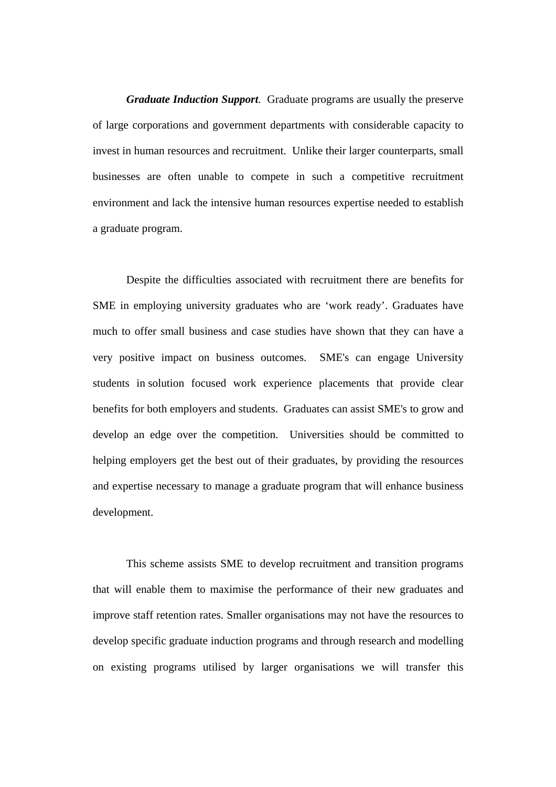*Graduate Induction Support.* Graduate programs are usually the preserve of large corporations and government departments with considerable capacity to invest in human resources and recruitment. Unlike their larger counterparts, small businesses are often unable to compete in such a competitive recruitment environment and lack the intensive human resources expertise needed to establish a graduate program.

Despite the difficulties associated with recruitment there are benefits for SME in employing university graduates who are 'work ready'. Graduates have much to offer small business and case studies have shown that they can have a very [positive impact on business outcomes.](http://www.usq.edu.au/beyondeducation/induction/impact.htm) SME's can engage University students in [solution focused work experience](http://www.usq.edu.au/beyondeducation/induction/solution+focused+work+experience+.htm) placements that provide clear benefits for both employers and students. Graduates can assist SME's to grow and develop an edge over the competition. Universities should be committed to helping employers get the best out of their graduates, by providing the resources and expertise necessary to manage a graduate program that will enhance business development.

This scheme assists SME to develop recruitment and transition programs that will enable them to maximise the performance of their new graduates and improve staff retention rates. Smaller organisations may not have the resources to develop specific graduate induction programs and through research and modelling on existing programs utilised by larger organisations we will transfer this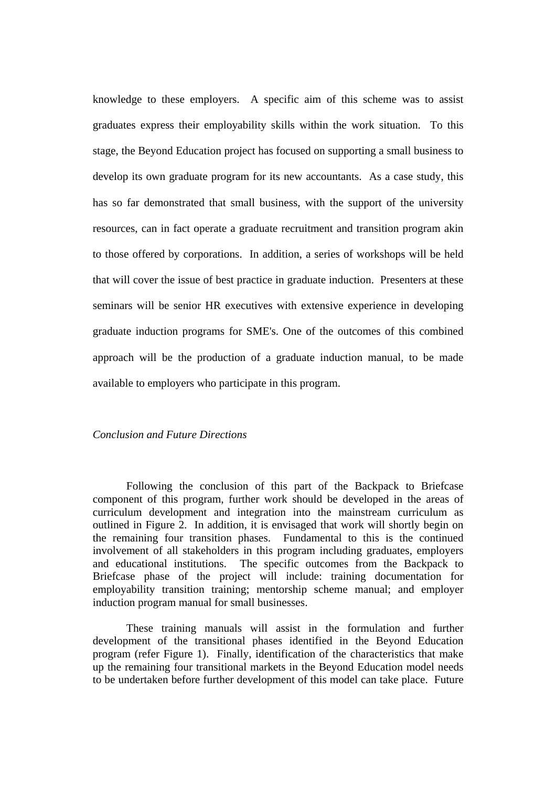knowledge to these employers. A specific aim of this scheme was to assist graduates express their employability skills within the work situation. To this stage, the Beyond Education project has focused on supporting a small business to develop its own graduate program for its new accountants. As a case study, this has so far demonstrated that small business, with the support of the university resources, can in fact operate a graduate recruitment and transition program akin to those offered by corporations. In addition, a series of workshops will be held that will cover the issue of best practice in graduate induction. Presenters at these seminars will be senior HR executives with extensive experience in developing graduate induction programs for SME's. One of the outcomes of this combined approach will be the production of a graduate induction manual, to be made available to employers who participate in this program.

# *Conclusion and Future Directions*

Following the conclusion of this part of the Backpack to Briefcase component of this program, further work should be developed in the areas of curriculum development and integration into the mainstream curriculum as outlined in Figure 2. In addition, it is envisaged that work will shortly begin on the remaining four transition phases. Fundamental to this is the continued involvement of all stakeholders in this program including graduates, employers and educational institutions. The specific outcomes from the Backpack to Briefcase phase of the project will include: training documentation for employability transition training; mentorship scheme manual; and employer induction program manual for small businesses.

 These training manuals will assist in the formulation and further development of the transitional phases identified in the Beyond Education program (refer Figure 1). Finally, identification of the characteristics that make up the remaining four transitional markets in the Beyond Education model needs to be undertaken before further development of this model can take place. Future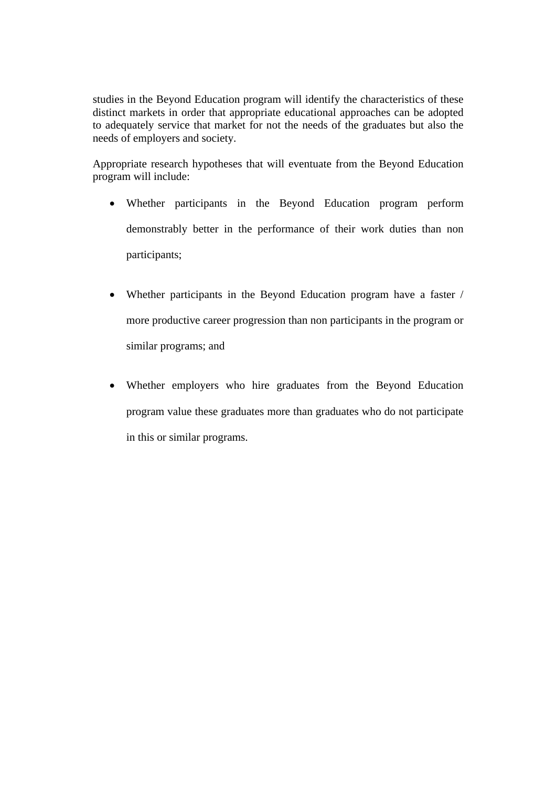studies in the Beyond Education program will identify the characteristics of these distinct markets in order that appropriate educational approaches can be adopted to adequately service that market for not the needs of the graduates but also the needs of employers and society.

Appropriate research hypotheses that will eventuate from the Beyond Education program will include:

- Whether participants in the Beyond Education program perform demonstrably better in the performance of their work duties than non participants;
- Whether participants in the Beyond Education program have a faster / more productive career progression than non participants in the program or similar programs; and
- Whether employers who hire graduates from the Beyond Education program value these graduates more than graduates who do not participate in this or similar programs.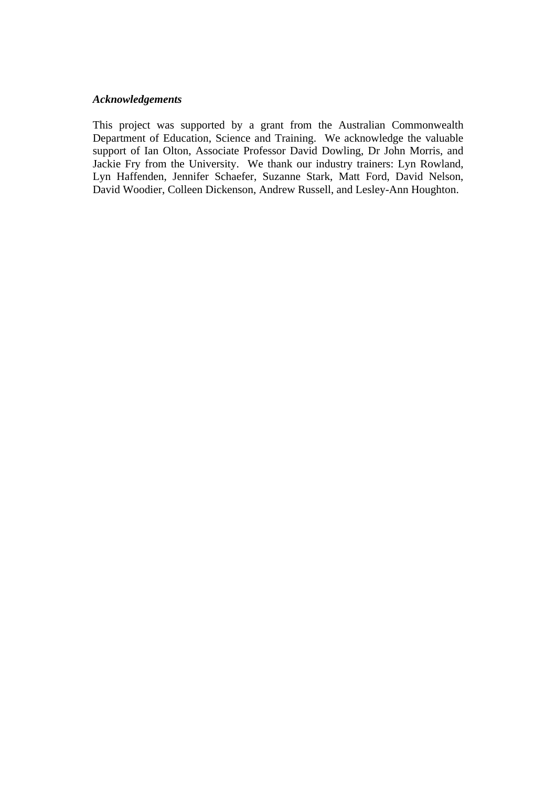# *Acknowledgements*

This project was supported by a grant from the Australian Commonwealth Department of Education, Science and Training. We acknowledge the valuable support of Ian Olton, Associate Professor David Dowling, Dr John Morris, and Jackie Fry from the University. We thank our industry trainers: Lyn Rowland, Lyn Haffenden, Jennifer Schaefer, Suzanne Stark, Matt Ford, David Nelson, David Woodier, Colleen Dickenson, Andrew Russell, and Lesley-Ann Houghton.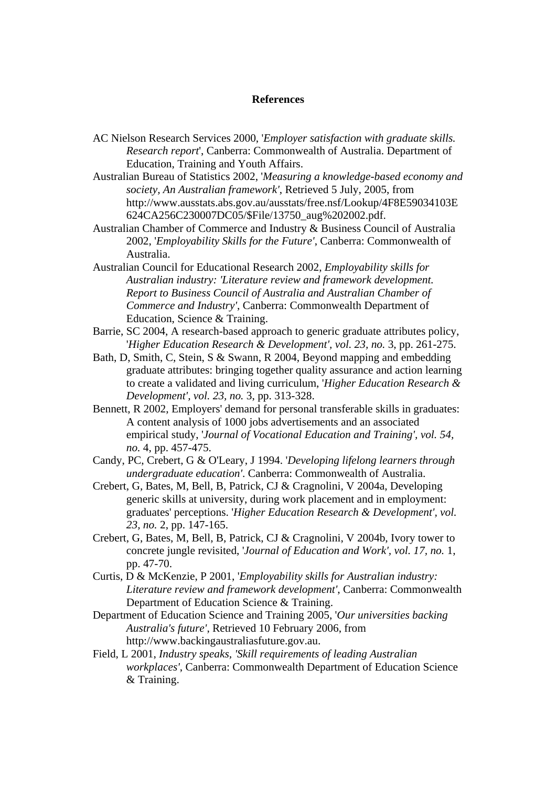#### **References**

- AC Nielson Research Services 2000, '*Employer satisfaction with graduate skills. Research report*', Canberra: Commonwealth of Australia. Department of Education, Training and Youth Affairs.
- Australian Bureau of Statistics 2002, '*Measuring a knowledge-based economy and society, An Australian framework'*, Retrieved 5 July, 2005, from http://www.ausstats.abs.gov.au/ausstats/free.nsf/Lookup/4F8E59034103E 624CA256C230007DC05/\$File/13750\_aug%202002.pdf.
- Australian Chamber of Commerce and Industry & Business Council of Australia 2002, '*Employability Skills for the Future'*, Canberra: Commonwealth of Australia.
- Australian Council for Educational Research 2002, *Employability skills for Australian industry: 'Literature review and framework development. Report to Business Council of Australia and Australian Chamber of Commerce and Industry'*, Canberra: Commonwealth Department of Education, Science & Training.
- Barrie, SC 2004, A research-based approach to generic graduate attributes policy, '*Higher Education Research & Development', vol. 23, no.* 3, pp. 261-275.
- Bath, D, Smith, C, Stein, S & Swann, R 2004, Beyond mapping and embedding graduate attributes: bringing together quality assurance and action learning to create a validated and living curriculum, '*Higher Education Research & Development', vol. 23, no.* 3, pp. 313-328.
- Bennett, R 2002, Employers' demand for personal transferable skills in graduates: A content analysis of 1000 jobs advertisements and an associated empirical study, '*Journal of Vocational Education and Training', vol. 54, no.* 4, pp. 457-475.
- Candy, PC, Crebert, G & O'Leary, J 1994. '*Developing lifelong learners through undergraduate education'*. Canberra: Commonwealth of Australia.
- Crebert, G, Bates, M, Bell, B, Patrick, CJ & Cragnolini, V 2004a, Developing generic skills at university, during work placement and in employment: graduates' perceptions. '*Higher Education Research & Development', vol. 23, no.* 2, pp. 147-165.
- Crebert, G, Bates, M, Bell, B, Patrick, CJ & Cragnolini, V 2004b, Ivory tower to concrete jungle revisited, '*Journal of Education and Work', vol. 17, no.* 1, pp. 47-70.
- Curtis, D & McKenzie, P 2001, '*Employability skills for Australian industry: Literature review and framework development'*, Canberra: Commonwealth Department of Education Science & Training.
- Department of Education Science and Training 2005, '*Our universities backing Australia's future'*, Retrieved 10 February 2006, from http://www.backingaustraliasfuture.gov.au.
- Field, L 2001, *Industry speaks, 'Skill requirements of leading Australian workplaces'*, Canberra: Commonwealth Department of Education Science & Training.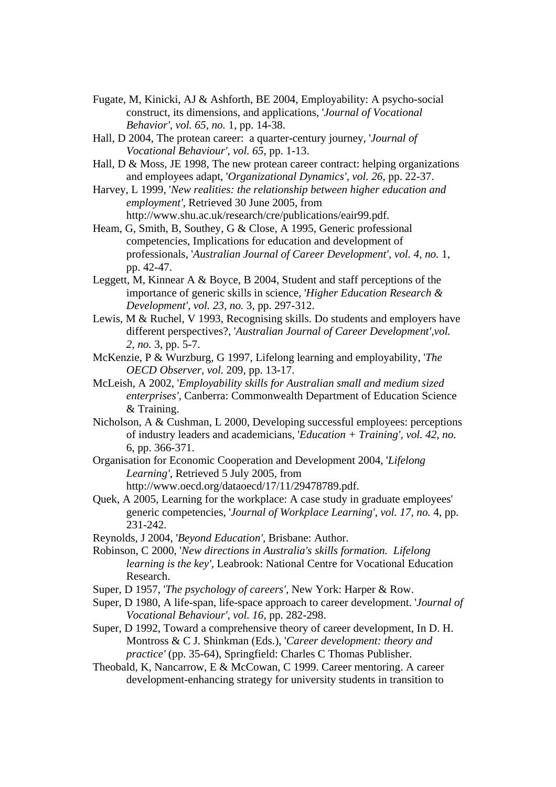- Fugate, M, Kinicki, AJ & Ashforth, BE 2004, Employability: A psycho-social construct, its dimensions, and applications, '*Journal of Vocational Behavior', vol. 65, no.* 1, pp. 14-38.
- Hall, D 2004, The protean career: a quarter-century journey, '*Journal of Vocational Behaviour', vol. 65*, pp. 1-13.
- Hall, D & Moss, JE 1998, The new protean career contract: helping organizations and employees adapt, '*Organizational Dynamics', vol. 26*, pp. 22-37.
- Harvey, L 1999, '*New realities: the relationship between higher education and employment'*, Retrieved 30 June 2005, from http://www.shu.ac.uk/research/cre/publications/eair99.pdf.
- Heam, G, Smith, B, Southey, G & Close, A 1995, Generic professional competencies, Implications for education and development of professionals, '*Australian Journal of Career Development', vol. 4, no.* 1, pp. 42-47.
- Leggett, M, Kinnear A & Boyce, B 2004, Student and staff perceptions of the importance of generic skills in science, '*Higher Education Research & Development', vol. 23, no.* 3, pp. 297-312.
- Lewis, M & Ruchel, V 1993, Recognising skills. Do students and employers have different perspectives?, '*Australian Journal of Career Development',vol. 2, no.* 3, pp. 5-7.
- McKenzie, P & Wurzburg, G 1997, Lifelong learning and employability, '*The OECD Observer, vol.* 209, pp. 13-17.
- McLeish, A 2002, '*Employability skills for Australian small and medium sized enterprises'*, Canberra: Commonwealth Department of Education Science & Training.
- Nicholson, A & Cushman, L 2000, Developing successful employees: perceptions of industry leaders and academicians, '*Education + Training', vol. 42, no.*  6, pp. 366-371.
- Organisation for Economic Cooperation and Development 2004, '*Lifelong Learning'*, Retrieved 5 July 2005, from http://www.oecd.org/dataoecd/17/11/29478789.pdf.
- Quek, A 2005, Learning for the workplace: A case study in graduate employees' generic competencies, '*Journal of Workplace Learning', vol. 17, no.* 4, pp. 231-242.
- Reynolds, J 2004, '*Beyond Education',* Brisbane: Author.
- Robinson, C 2000, '*New directions in Australia's skills formation. Lifelong learning is the key',* Leabrook: National Centre for Vocational Education Research.
- Super, D 1957, '*The psychology of careers'*, New York: Harper & Row.
- Super, D 1980, A life-span, life-space approach to career development. '*Journal of Vocational Behaviour', vol. 16*, pp. 282-298.
- Super, D 1992, Toward a comprehensive theory of career development, In D. H. Montross & C J. Shinkman (Eds.), '*Career development: theory and practice'* (pp. 35-64), Springfield: Charles C Thomas Publisher.
- Theobald, K, Nancarrow, E & McCowan, C 1999. Career mentoring. A career development-enhancing strategy for university students in transition to